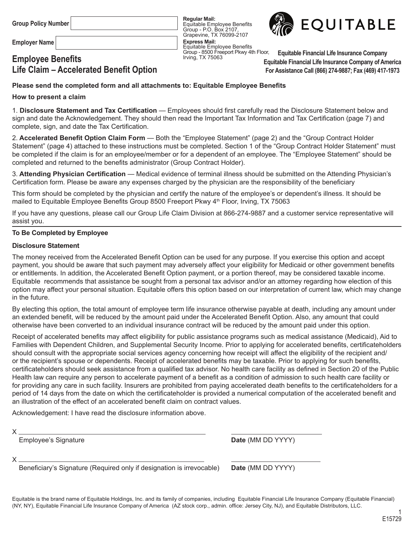**Group Policy Number**

**Employer Name**

# **Employee Benefits Life Claim – Accelerated Benefit Option**

**Regular Mail:** Equitable Employee Benefits Group - P.O. Box 2107, Grapevine, TX 76099-2107 **Express Mail:** Equitable Employee Benefits Group - 8500 Freeport Pkwy 4th Floor, Irving, TX 75063



**Equitable Financial Life Insurance Company Equitable Financial Life Insurance Company of America For Assistance Call (866) 274-9887; Fax (469) 417-1973**

# **Please send the completed form and all attachments to: Equitable Employee Benefits**

## **How to present a claim**

1. **Disclosure Statement and Tax Certification** — Employees should first carefully read the Disclosure Statement below and sign and date the Acknowledgement. They should then read the Important Tax Information and Tax Certification (page 7) and complete, sign, and date the Tax Certification.

2. **Accelerated Benefit Option Claim Form** — Both the "Employee Statement" (page 2) and the "Group Contract Holder Statement" (page 4) attached to these instructions must be completed. Section 1 of the "Group Contract Holder Statement" must be completed if the claim is for an employee/member or for a dependent of an employee. The "Employee Statement" should be completed and returned to the benefits administrator (Group Contract Holder).

3. **Attending Physician Certification** — Medical evidence of terminal illness should be submitted on the Attending Physician's Certification form. Please be aware any expenses charged by the physician are the responsibility of the beneficiary

This form should be completed by the physician and certify the nature of the employee's or dependent's illness. It should be mailed to Equitable Employee Benefits Group 8500 Freeport Pkwy 4<sup>th</sup> Floor, Irving, TX 75063

If you have any questions, please call our Group Life Claim Division at 866-274-9887 and a customer service representative will assist you.

## **To Be Completed by Employee**

## **Disclosure Statement**

The money received from the Accelerated Benefit Option can be used for any purpose. If you exercise this option and accept payment, you should be aware that such payment may adversely affect your eligibility for Medicaid or other government benefits or entitlements. In addition, the Accelerated Benefit Option payment, or a portion thereof, may be considered taxable income. Equitable recommends that assistance be sought from a personal tax advisor and/or an attorney regarding how election of this option may affect your personal situation. Equitable offers this option based on our interpretation of current law, which may change in the future.

By electing this option, the total amount of employee term life insurance otherwise payable at death, including any amount under an extended benefit, will be reduced by the amount paid under the Accelerated Benefit Option. Also, any amount that could otherwise have been converted to an individual insurance contract will be reduced by the amount paid under this option.

Receipt of accelerated benefits may affect eligibility for public assistance programs such as medical assistance (Medicaid), Aid to Families with Dependent Children, and Supplemental Security Income. Prior to applying for accelerated benefits, certificateholders should consult with the appropriate social services agency concerning how receipt will affect the eligibility of the recipient and/ or the recipient's spouse or dependents. Receipt of accelerated benefits may be taxable. Prior to applying for such benefits, certificateholders should seek assistance from a qualified tax advisor. No health care facility as defined in Section 20 of the Public Health law can require any person to accelerate payment of a benefit as a condition of admission to such health care facility or for providing any care in such facility. Insurers are prohibited from paying accelerated death benefits to the certificateholders for a period of 14 days from the date on which the certificateholder is provided a numerical computation of the accelerated benefit and an illustration of the effect of an accelerated benefit claim on contract values.

Acknowledgement: I have read the disclosure information above.

Employee's Signature **Date** (MM DD YYYY)

X

Beneficiary's Signature (Required only if designation is irrevocable) **Date** (MM DD YYYY)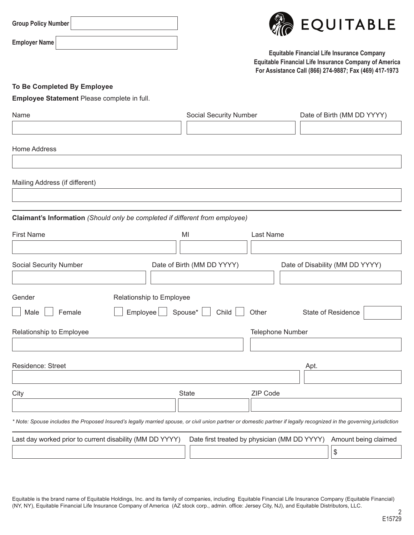| Group Policy Number |  |
|---------------------|--|
|---------------------|--|



**Equitable Financial Life Insurance Company Equitable Financial Life Insurance Company of America For Assistance Call (866) 274-9887; Fax (469) 417-1973**

# **To Be Completed By Employee**

**Employee Statement** Please complete in full.

| Name                                                                         | <b>Social Security Number</b> | Date of Birth (MM DD YYYY)                                                                                                                                            |
|------------------------------------------------------------------------------|-------------------------------|-----------------------------------------------------------------------------------------------------------------------------------------------------------------------|
|                                                                              |                               |                                                                                                                                                                       |
|                                                                              |                               |                                                                                                                                                                       |
| <b>Home Address</b>                                                          |                               |                                                                                                                                                                       |
|                                                                              |                               |                                                                                                                                                                       |
| Mailing Address (if different)                                               |                               |                                                                                                                                                                       |
|                                                                              |                               |                                                                                                                                                                       |
|                                                                              |                               |                                                                                                                                                                       |
| Claimant's Information (Should only be completed if different from employee) |                               |                                                                                                                                                                       |
| <b>First Name</b>                                                            | MI                            | Last Name                                                                                                                                                             |
|                                                                              |                               |                                                                                                                                                                       |
| Social Security Number                                                       | Date of Birth (MM DD YYYY)    | Date of Disability (MM DD YYYY)                                                                                                                                       |
|                                                                              |                               |                                                                                                                                                                       |
| Gender<br>Relationship to Employee                                           |                               |                                                                                                                                                                       |
| Employee<br>Male<br>Female                                                   | Spouse*  <br>Child            | Other<br>State of Residence                                                                                                                                           |
|                                                                              |                               |                                                                                                                                                                       |
| Relationship to Employee                                                     |                               | Telephone Number                                                                                                                                                      |
|                                                                              |                               |                                                                                                                                                                       |
| Residence: Street                                                            |                               | Apt.                                                                                                                                                                  |
|                                                                              |                               |                                                                                                                                                                       |
| City                                                                         | <b>State</b>                  | ZIP Code                                                                                                                                                              |
|                                                                              |                               |                                                                                                                                                                       |
|                                                                              |                               | * Note: Spouse includes the Proposed Insured's legally married spouse, or civil union partner or domestic partner if legally recognized in the governing jurisdiction |
|                                                                              |                               |                                                                                                                                                                       |
| Last day worked prior to current disability (MM DD YYYY)                     |                               | Date first treated by physician (MM DD YYYY)<br>Amount being claimed                                                                                                  |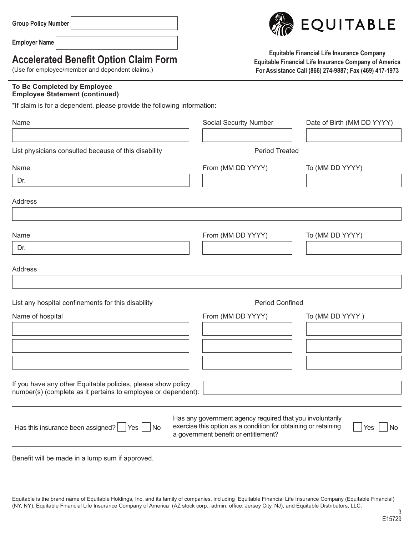| <b>Group Policy Number</b> |  |
|----------------------------|--|
|----------------------------|--|

# **Accelerated Benefit Option Claim Form**

(Use for employee/member and dependent claims.)

## **To Be Completed by Employee Employee Statement (continued)**

\*If claim is for a dependent, please provide the following information:

| Name                                                                                                                          | <b>Social Security Number</b>                                                                                                                                       | Date of Birth (MM DD YYYY) |
|-------------------------------------------------------------------------------------------------------------------------------|---------------------------------------------------------------------------------------------------------------------------------------------------------------------|----------------------------|
|                                                                                                                               |                                                                                                                                                                     |                            |
| List physicians consulted because of this disability                                                                          | <b>Period Treated</b>                                                                                                                                               |                            |
| Name                                                                                                                          | From (MM DD YYYY)                                                                                                                                                   | To (MM DD YYYY)            |
| Dr.                                                                                                                           |                                                                                                                                                                     |                            |
| <b>Address</b>                                                                                                                |                                                                                                                                                                     |                            |
|                                                                                                                               |                                                                                                                                                                     |                            |
| Name                                                                                                                          | From (MM DD YYYY)                                                                                                                                                   | To (MM DD YYYY)            |
| Dr.                                                                                                                           |                                                                                                                                                                     |                            |
| <b>Address</b>                                                                                                                |                                                                                                                                                                     |                            |
|                                                                                                                               |                                                                                                                                                                     |                            |
| List any hospital confinements for this disability                                                                            | <b>Period Confined</b>                                                                                                                                              |                            |
| Name of hospital                                                                                                              | From (MM DD YYYY)                                                                                                                                                   | To (MM DD YYYY)            |
|                                                                                                                               |                                                                                                                                                                     |                            |
|                                                                                                                               |                                                                                                                                                                     |                            |
|                                                                                                                               |                                                                                                                                                                     |                            |
|                                                                                                                               |                                                                                                                                                                     |                            |
| If you have any other Equitable policies, please show policy<br>number(s) (complete as it pertains to employee or dependent): |                                                                                                                                                                     |                            |
|                                                                                                                               |                                                                                                                                                                     |                            |
| Has this insurance been assigned?   Yes  <br><b>No</b>                                                                        | Has any government agency required that you involuntarily<br>exercise this option as a condition for obtaining or retaining<br>a government benefit or entitlement? | Yes<br><b>No</b>           |

Benefit will be made in a lump sum if approved.

Equitable is the brand name of Equitable Holdings, Inc. and its family of companies, including Equitable Financial Life Insurance Company (Equitable Financial) (NY, NY), Equitable Financial Life Insurance Company of America (AZ stock corp., admin. office: Jersey City, NJ), and Equitable Distributors, LLC.



**Equitable Financial Life Insurance Company Equitable Financial Life Insurance Company of America For Assistance Call (866) 274-9887; Fax (469) 417-1973**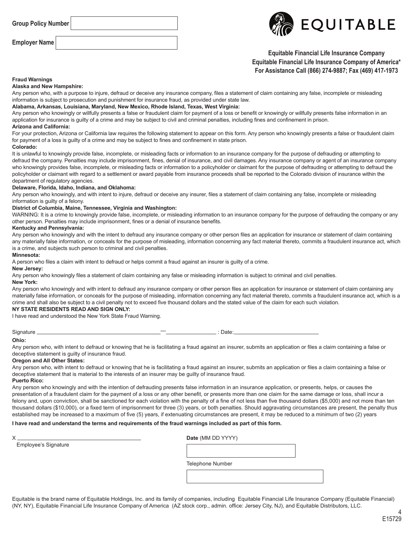**Group Policy Number**

**Employer Name**



## **Equitable Financial Life Insurance Company Equitable Financial Life Insurance Company of America\* For Assistance Call (866) 274-9887; Fax (469) 417-1973**

#### **Fraud Warnings**

**Alaska and New Hampshire:**

Any person who, with a purpose to injure, defraud or deceive any insurance company, files a statement of claim containing any false, incomplete or misleading information is subject to prosecution and punishment for insurance fraud, as provided under state law.

#### **Alabama, Arkansas, Louisiana, Maryland, New Mexico, Rhode Island, Texas, West Virginia:**

Any person who knowingly or willfully presents a false or fraudulent claim for payment of a loss or benefit or knowingly or willfully presents false information in an application for insurance is guilty of a crime and may be subject to civil and criminal penalties, including fines and confinement in prison.

#### **Arizona and California:**

For your protection, Arizona or California law requires the following statement to appear on this form. Any person who knowingly presents a false or fraudulent claim for payment of a loss is guilty of a crime and may be subject to fines and confinement in state prison.

#### **Colorado:**

It is unlawful to knowingly provide false, incomplete, or misleading facts or information to an insurance company for the purpose of defrauding or attempting to defraud the company. Penalties may include imprisonment, fines, denial of insurance, and civil damages. Any insurance company or agent of an insurance company who knowingly provides false, incomplete, or misleading facts or information to a policyholder or claimant for the purpose of defrauding or attempting to defraud the policyholder or claimant with regard to a settlement or award payable from insurance proceeds shall be reported to the Colorado division of insurance within the department of regulatory agencies.

#### **Delaware, Florida, Idaho, Indiana, and Oklahoma:**

Any person who knowingly, and with intent to injure, defraud or deceive any insurer, files a statement of claim containing any false, incomplete or misleading information is guilty of a felony.

#### **District of Columbia, Maine, Tennessee, Virginia and Washington:**

WARNING: It is a crime to knowingly provide false, incomplete, or misleading information to an insurance company for the purpose of defrauding the company or any other person. Penalties may include imprisonment, fines or a denial of insurance benefits.

#### **Kentucky and Pennsylvania:**

Any person who knowingly and with the intent to defraud any insurance company or other person files an application for insurance or statement of claim containing any materially false information, or conceals for the purpose of misleading, information concerning any fact material thereto, commits a fraudulent insurance act, which is a crime, and subjects such person to criminal and civil penalties.

#### **Minnesota:**

A person who files a claim with intent to defraud or helps commit a fraud against an insurer is guilty of a crime.

#### **New Jersey:**

Any person who knowingly files a statement of claim containing any false or misleading information is subject to criminal and civil penalties.

#### **New York:**

Any person who knowingly and with intent to defraud any insurance company or other person files an application for insurance or statement of claim containing any materially false information, or conceals for the purpose of misleading, information concerning any fact material thereto, commits a fraudulent insurance act, which is a crime and shall also be subject to a civil penalty not to exceed five thousand dollars and the stated value of the claim for each such violation.

#### **NY STATE RESIDENTS READ AND SIGN ONLY:**

I have read and understood the New York State Fraud Warning.

| Signature         |
|-------------------|
| Ohio <sup>.</sup> |

Signature --- : Date:

Any person who, with intent to defraud or knowing that he is facilitating a fraud against an insurer, submits an application or files a claim containing a false or deceptive statement is guilty of insurance fraud.

#### **Oregon and All Other States:**

Any person who, with intent to defraud or knowing that he is facilitating a fraud against an insurer, submits an application or files a claim containing a false or deceptive statement that is material to the interests of an insurer may be guilty of insurance fraud. **Puerto Rico:**

#### Any person who knowingly and with the intention of defrauding presents false information in an insurance application, or presents, helps, or causes the presentation of a fraudulent claim for the payment of a loss or any other benefit, or presents more than one claim for the same damage or loss, shall incur a felony and, upon conviction, shall be sanctioned for each violation with the penalty of a fine of not less than five thousand dollars (\$5,000) and not more than ten thousand dollars (\$10,000), or a fixed term of imprisonment for three (3) years, or both penalties. Should aggravating circumstances are present, the penalty thus established may be increased to a maximum of five (5) years, if extenuating circumstances are present, it may be reduced to a minimum of two (2) years

#### **I have read and understand the terms and requirements of the fraud warnings included as part of this form.**

Employee's Signature

X **Date** (MM DD YYYY)

Telephone Number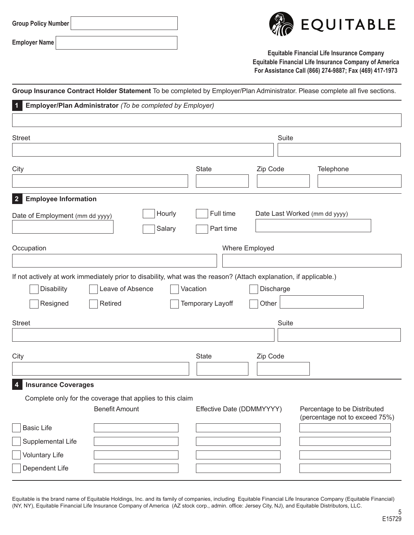| Group Policy Number |
|---------------------|
|---------------------|



**Equitable Financial Life Insurance Company Equitable Financial Life Insurance Company of America For Assistance Call (866) 274-9887; Fax (469) 417-1973**

|                                                                                              | Group Insurance Contract Holder Statement To be completed by Employer/Plan Administrator. Please complete all five sections. |
|----------------------------------------------------------------------------------------------|------------------------------------------------------------------------------------------------------------------------------|
| Employer/Plan Administrator (To be completed by Employer)<br>1                               |                                                                                                                              |
|                                                                                              |                                                                                                                              |
| <b>Street</b>                                                                                | Suite                                                                                                                        |
|                                                                                              |                                                                                                                              |
| City                                                                                         | <b>State</b><br>Zip Code<br>Telephone                                                                                        |
|                                                                                              |                                                                                                                              |
| <b>Employee Information</b><br>2 <sup>2</sup>                                                |                                                                                                                              |
| Date of Employment (mm dd yyyy)                                                              | Full time<br>Hourly<br>Date Last Worked (mm dd yyyy)                                                                         |
|                                                                                              | Part time<br>Salary                                                                                                          |
| Occupation                                                                                   | Where Employed                                                                                                               |
|                                                                                              |                                                                                                                              |
|                                                                                              | If not actively at work immediately prior to disability, what was the reason? (Attach explanation, if applicable.)           |
| <b>Disability</b><br>Leave of Absence                                                        | Vacation<br>Discharge                                                                                                        |
| Resigned<br>Retired                                                                          | <b>Temporary Layoff</b><br>Other                                                                                             |
| <b>Street</b>                                                                                | Suite                                                                                                                        |
|                                                                                              |                                                                                                                              |
|                                                                                              |                                                                                                                              |
| City                                                                                         | Zip Code<br><b>State</b>                                                                                                     |
|                                                                                              |                                                                                                                              |
| <b>Insurance Coverages</b><br>4<br>Complete only for the coverage that applies to this claim |                                                                                                                              |
| <b>Benefit Amount</b>                                                                        | Effective Date (DDMMYYYY)<br>Percentage to be Distributed<br>(percentage not to exceed 75%)                                  |
| <b>Basic Life</b>                                                                            |                                                                                                                              |
| Supplemental Life                                                                            |                                                                                                                              |
| <b>Voluntary Life</b>                                                                        |                                                                                                                              |
| Dependent Life                                                                               |                                                                                                                              |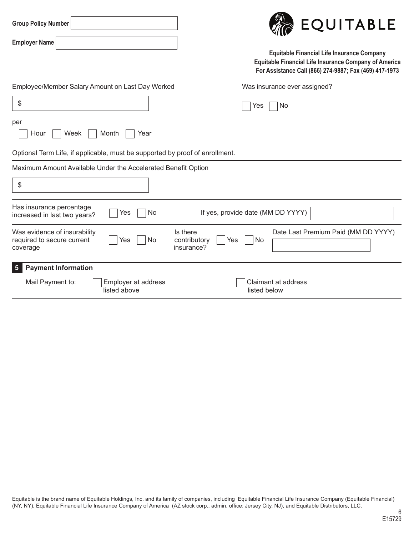| <b>Group Policy Number</b>                                                          | EQUITABLE                                                                                                                                                                   |
|-------------------------------------------------------------------------------------|-----------------------------------------------------------------------------------------------------------------------------------------------------------------------------|
| <b>Employer Name</b>                                                                | <b>Equitable Financial Life Insurance Company</b><br><b>Equitable Financial Life Insurance Company of America</b><br>For Assistance Call (866) 274-9887; Fax (469) 417-1973 |
| Employee/Member Salary Amount on Last Day Worked                                    | Was insurance ever assigned?                                                                                                                                                |
| \$                                                                                  | No<br>Yes                                                                                                                                                                   |
| per<br>Week<br>Month<br>Hour<br>Year                                                |                                                                                                                                                                             |
| Optional Term Life, if applicable, must be supported by proof of enrollment.        |                                                                                                                                                                             |
| Maximum Amount Available Under the Accelerated Benefit Option                       |                                                                                                                                                                             |
| \$                                                                                  |                                                                                                                                                                             |
| Has insurance percentage<br><b>No</b><br>Yes<br>increased in last two years?        | If yes, provide date (MM DD YYYY)                                                                                                                                           |
| Was evidence of insurability<br>No<br>required to secure current<br>Yes<br>coverage | Date Last Premium Paid (MM DD YYYY)<br>Is there<br>contributory<br>No<br>Yes<br>insurance?                                                                                  |
| <b>Payment Information</b><br>5 <sub>5</sub>                                        |                                                                                                                                                                             |
| Employer at address<br>Mail Payment to:<br>listed above                             | <b>Claimant at address</b><br>listed below                                                                                                                                  |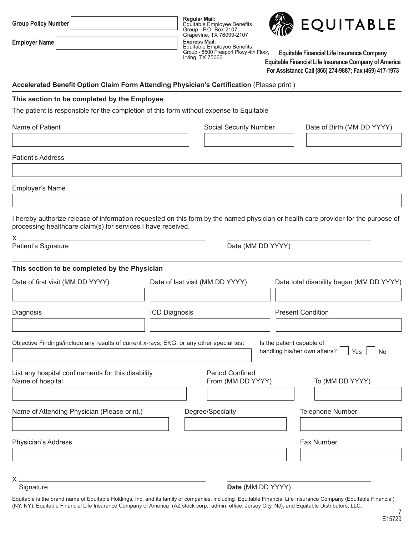|  |  | Group Policy Number |  |
|--|--|---------------------|--|
|--|--|---------------------|--|

**Regular Mail:** Equitable Employee Benefits Group - P.O. Box 2107, Grapevine, TX 76099-2107 **Express Mail:** Equitable Employee Benefits Group - 8500 Freeport Pkwy 4th Floor, Irving, TX 75063



**Equitable Financial Life Insurance Company Equitable Financial Life Insurance Company of America For Assistance Call (866) 274-9887; Fax (469) 417-1973**

## **Accelerated Benefit Option Claim Form Attending Physician's Certification** (Please print.)

## **This section to be completed by the Employee**

The patient is responsible for the completion of this form without expense to Equitable

| Name of Patient                                                                                                                                                                                    |               | Social Security Number                      |                           | Date of Birth (MM DD YYYY)                        |
|----------------------------------------------------------------------------------------------------------------------------------------------------------------------------------------------------|---------------|---------------------------------------------|---------------------------|---------------------------------------------------|
| Patient's Address                                                                                                                                                                                  |               |                                             |                           |                                                   |
| Employer's Name                                                                                                                                                                                    |               |                                             |                           |                                                   |
| I hereby authorize release of information requested on this form by the named physician or health care provider for the purpose of<br>processing healthcare claim(s) for services I have received. |               |                                             |                           |                                                   |
| Χ.<br>Patient's Signature                                                                                                                                                                          |               | Date (MM DD YYYY)                           |                           |                                                   |
| This section to be completed by the Physician<br>Date of first visit (MM DD YYYY)                                                                                                                  |               | Date of last visit (MM DD YYYY)             |                           | Date total disability began (MM DD YYYY)          |
| Diagnosis                                                                                                                                                                                          | ICD Diagnosis |                                             |                           | <b>Present Condition</b>                          |
| Objective Findings/include any results of current x-rays, EKG, or any other special test                                                                                                           |               |                                             | Is the patient capable of | handling his/her own affairs?<br>Yes<br><b>No</b> |
| List any hospital confinements for this disability<br>Name of hospital                                                                                                                             |               | <b>Period Confined</b><br>From (MM DD YYYY) |                           | To (MM DD YYYY)                                   |
| Name of Attending Physician (Please print.)                                                                                                                                                        |               | Degree/Specialty                            |                           | Telephone Number                                  |
| Physician's Address                                                                                                                                                                                |               |                                             |                           | Fax Number                                        |

X

### Signature **Date** (MM DD YYYY)